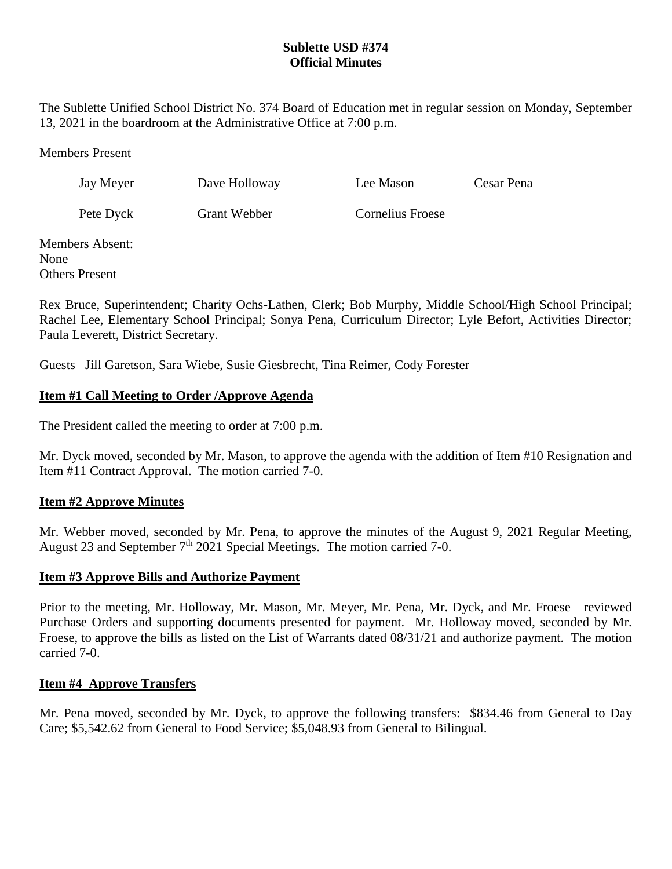# **Sublette USD #374 Official Minutes**

The Sublette Unified School District No. 374 Board of Education met in regular session on Monday, September 13, 2021 in the boardroom at the Administrative Office at 7:00 p.m.

Members Present

Jay Meyer Dave Holloway Lee Mason Cesar Pena

Pete Dyck Grant Webber Cornelius Froese

Members Absent: None Others Present

Rex Bruce, Superintendent; Charity Ochs-Lathen, Clerk; Bob Murphy, Middle School/High School Principal; Rachel Lee, Elementary School Principal; Sonya Pena, Curriculum Director; Lyle Befort, Activities Director; Paula Leverett, District Secretary.

Guests –Jill Garetson, Sara Wiebe, Susie Giesbrecht, Tina Reimer, Cody Forester

# **Item #1 Call Meeting to Order /Approve Agenda**

The President called the meeting to order at 7:00 p.m.

Mr. Dyck moved, seconded by Mr. Mason, to approve the agenda with the addition of Item #10 Resignation and Item #11 Contract Approval. The motion carried 7-0.

# **Item #2 Approve Minutes**

Mr. Webber moved, seconded by Mr. Pena, to approve the minutes of the August 9, 2021 Regular Meeting, August 23 and September  $7<sup>th</sup>$  2021 Special Meetings. The motion carried 7-0.

# **Item #3 Approve Bills and Authorize Payment**

Prior to the meeting, Mr. Holloway, Mr. Mason, Mr. Meyer, Mr. Pena, Mr. Dyck, and Mr. Froese reviewed Purchase Orders and supporting documents presented for payment. Mr. Holloway moved, seconded by Mr. Froese, to approve the bills as listed on the List of Warrants dated 08/31/21 and authorize payment. The motion carried 7-0.

# **Item #4 Approve Transfers**

Mr. Pena moved, seconded by Mr. Dyck, to approve the following transfers: \$834.46 from General to Day Care; \$5,542.62 from General to Food Service; \$5,048.93 from General to Bilingual.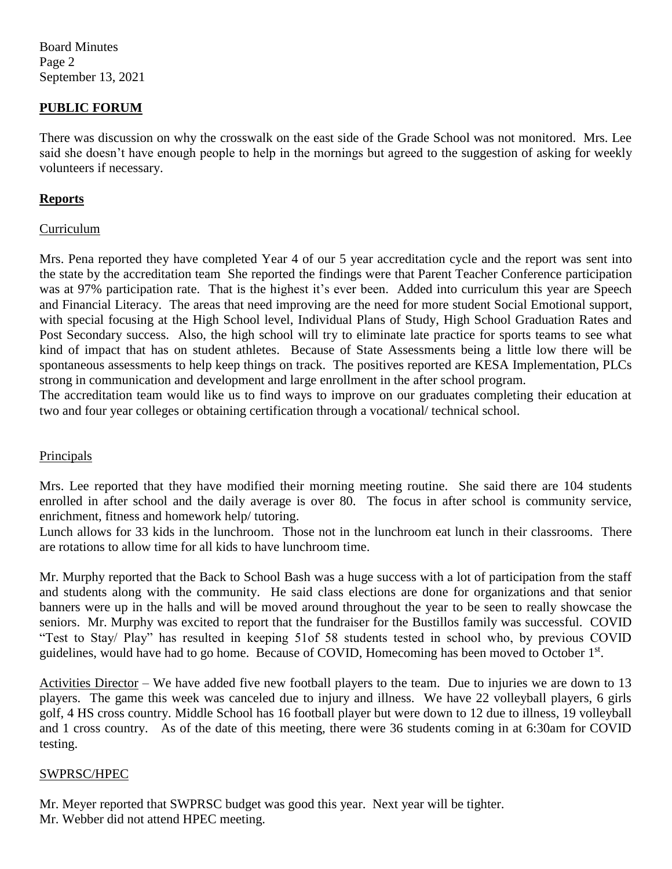Board Minutes Page 2 September 13, 2021

## **PUBLIC FORUM**

There was discussion on why the crosswalk on the east side of the Grade School was not monitored. Mrs. Lee said she doesn't have enough people to help in the mornings but agreed to the suggestion of asking for weekly volunteers if necessary.

#### **Reports**

#### Curriculum

Mrs. Pena reported they have completed Year 4 of our 5 year accreditation cycle and the report was sent into the state by the accreditation team She reported the findings were that Parent Teacher Conference participation was at 97% participation rate. That is the highest it's ever been. Added into curriculum this year are Speech and Financial Literacy. The areas that need improving are the need for more student Social Emotional support, with special focusing at the High School level, Individual Plans of Study, High School Graduation Rates and Post Secondary success. Also, the high school will try to eliminate late practice for sports teams to see what kind of impact that has on student athletes. Because of State Assessments being a little low there will be spontaneous assessments to help keep things on track. The positives reported are KESA Implementation, PLCs strong in communication and development and large enrollment in the after school program.

The accreditation team would like us to find ways to improve on our graduates completing their education at two and four year colleges or obtaining certification through a vocational/ technical school.

#### Principals

Mrs. Lee reported that they have modified their morning meeting routine. She said there are 104 students enrolled in after school and the daily average is over 80. The focus in after school is community service, enrichment, fitness and homework help/ tutoring.

Lunch allows for 33 kids in the lunchroom. Those not in the lunchroom eat lunch in their classrooms. There are rotations to allow time for all kids to have lunchroom time.

Mr. Murphy reported that the Back to School Bash was a huge success with a lot of participation from the staff and students along with the community. He said class elections are done for organizations and that senior banners were up in the halls and will be moved around throughout the year to be seen to really showcase the seniors. Mr. Murphy was excited to report that the fundraiser for the Bustillos family was successful. COVID "Test to Stay/ Play" has resulted in keeping 51of 58 students tested in school who, by previous COVID guidelines, would have had to go home. Because of COVID, Homecoming has been moved to October 1<sup>st</sup>.

Activities Director – We have added five new football players to the team. Due to injuries we are down to 13 players. The game this week was canceled due to injury and illness. We have 22 volleyball players, 6 girls golf, 4 HS cross country. Middle School has 16 football player but were down to 12 due to illness, 19 volleyball and 1 cross country. As of the date of this meeting, there were 36 students coming in at 6:30am for COVID testing.

#### SWPRSC/HPEC

Mr. Meyer reported that SWPRSC budget was good this year. Next year will be tighter. Mr. Webber did not attend HPEC meeting.